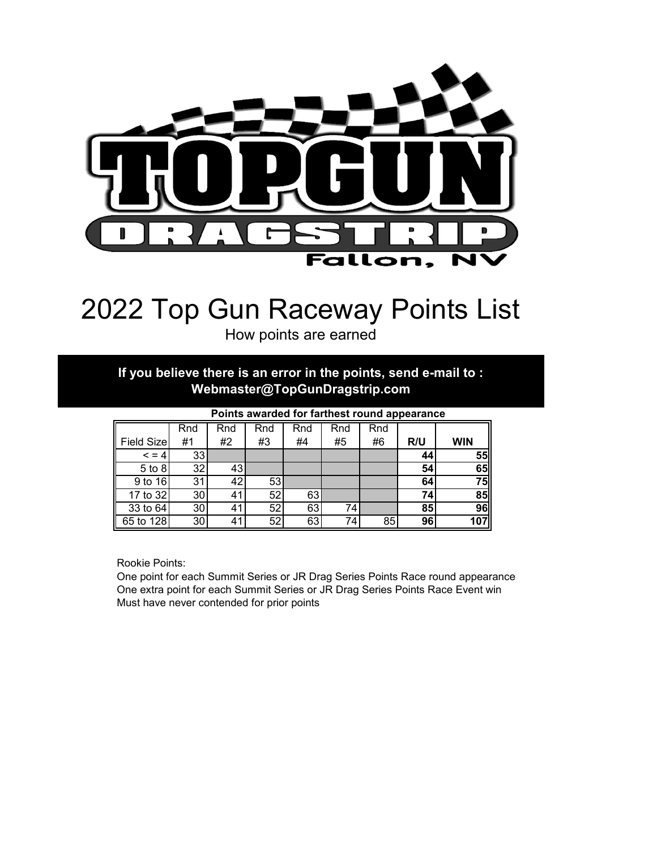

# 2022 Top Gun Raceway Points List

How points are earned

**If you believe there is an error in the points, send e-mail to : Webmaster@TopGunDragstrip.com**

|            | Rnd             | Rnd | Rnd | Rnd | Rnd | Rnd |     |            |
|------------|-----------------|-----|-----|-----|-----|-----|-----|------------|
| Field Size | #1              | #2  | #3  | #4  | #5  | #6  | R/U | <b>WIN</b> |
| $\leq$ = 4 | 33              |     |     |     |     |     | 44  | 55         |
| 5 to 8     | 32              | 43  |     |     |     |     | 54  | 65         |
| 9 to 16    | 31              | 42  | 53  |     |     |     | 64  | 75         |
| 17 to 32   | 30              | 41  | 52  | 63  |     |     | 74  | 85         |
| 33 to 64   | 30              | 41  | 52  | 63  | 74  |     | 85  | 96         |
| 65 to 128  | 30 <sub>1</sub> | 41  | 52  | 63  | 74  | 85  | 96  | 107        |

**Points awarded for farthest round appearance**

Rookie Points:

One point for each Summit Series or JR Drag Series Points Race round appearance One extra point for each Summit Series or JR Drag Series Points Race Event win Must have never contended for prior points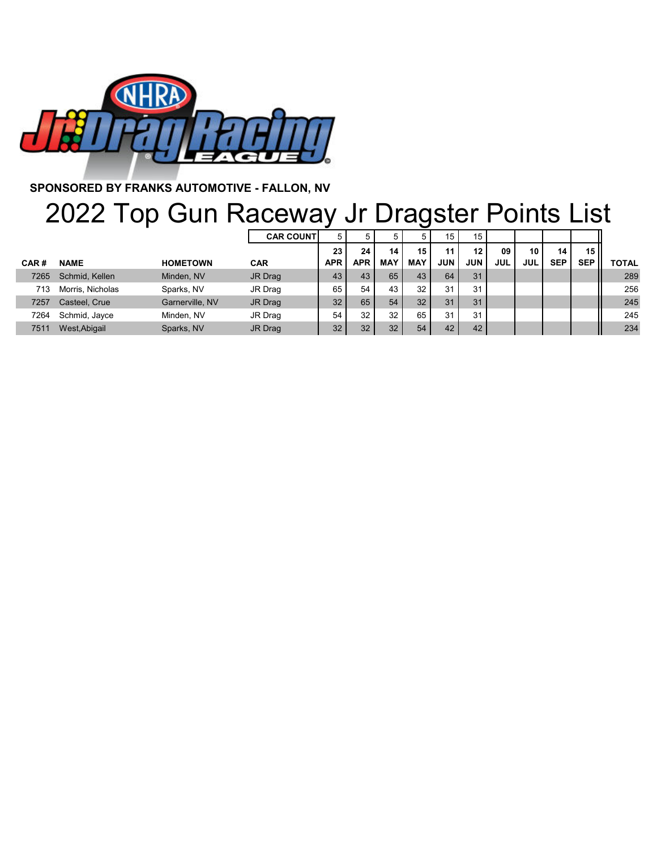

**SPONSORED BY FRANKS AUTOMOTIVE - FALLON, NV**

### 2022 Top Gun Raceway Jr Dragster Points List

|      |                  |                 | <b>CAR COUNTI</b> | 5          |            |            | 5          | 15.        | 15              |            |                 |            |            |              |
|------|------------------|-----------------|-------------------|------------|------------|------------|------------|------------|-----------------|------------|-----------------|------------|------------|--------------|
|      |                  |                 |                   | 23         | 24         | 14         | 15         | 11         | 12 <sub>1</sub> | 09         | 10 <sub>1</sub> | 14         | 15 II      |              |
| CAR# | <b>NAME</b>      | <b>HOMETOWN</b> | <b>CAR</b>        | <b>APR</b> | <b>APR</b> | <b>MAY</b> | <b>MAY</b> | <b>JUN</b> | <b>JUN</b>      | <b>JUL</b> | <b>JUL</b>      | <b>SEP</b> | <b>SEP</b> | <b>TOTAL</b> |
| 7265 | Schmid, Kellen   | Minden, NV      | JR Drag           | 43         | 43         | 65         | 43         | 64         | 31              |            |                 |            |            | 289          |
| 713  | Morris, Nicholas | Sparks, NV      | JR Drag           | 65         | 54         | 43         | 32         | 31         | 31              |            |                 |            |            | 256          |
| 7257 | Casteel, Crue    | Garnerville, NV | JR Drag           | 32         | 65         | 54         | 32         | 31         | 31              |            |                 |            |            | 245          |
| 7264 | Schmid, Jayce    | Minden, NV      | JR Drag           | 54         | 32         | 32         | 65         | 31         | 31              |            |                 |            |            | 245          |
| 7511 | West, Abigail    | Sparks, NV      | JR Drag           | 32         | 32         | 32         | 54         | 42         | 42              |            |                 |            |            | 234          |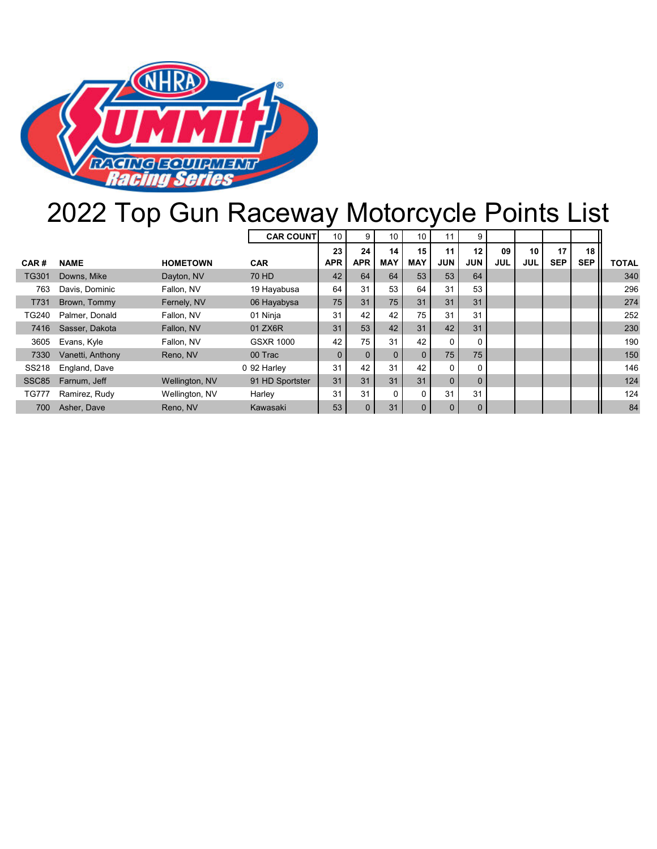

# 2022 Top Gun Raceway Motorcycle Points List

|                   |                  |                 | <b>CAR COUNT</b> | 10           | 9          | 10         | 10         | 11             | 9            |            |            |            |                 |              |
|-------------------|------------------|-----------------|------------------|--------------|------------|------------|------------|----------------|--------------|------------|------------|------------|-----------------|--------------|
|                   |                  |                 |                  | 23           | 24         | 14         | 15         | 11             | 12           | 09         | 10         | 17         | 18 <sup>1</sup> |              |
| CAR#              | <b>NAME</b>      | <b>HOMETOWN</b> | <b>CAR</b>       | <b>APR</b>   | <b>APR</b> | <b>MAY</b> | <b>MAY</b> | <b>JUN</b>     | <b>JUN</b>   | <b>JUL</b> | <b>JUL</b> | <b>SEP</b> | <b>SEP</b>      | <b>TOTAL</b> |
| <b>TG301</b>      | Downs, Mike      | Dayton, NV      | 70 HD            | 42           | 64         | 64         | 53         | 53             | 64           |            |            |            |                 | 340          |
| 763               | Davis, Dominic   | Fallon, NV      | 19 Hayabusa      | 64           | 31         | 53         | 64         | 31             | 53           |            |            |            |                 | 296          |
| T731              | Brown, Tommy     | Fernely, NV     | 06 Hayabysa      | 75           | 31         | 75         | 31         | 31             | 31           |            |            |            |                 | 274          |
| TG240             | Palmer, Donald   | Fallon, NV      | 01 Ninja         | 31           | 42         | 42         | 75         | 31             | 31           |            |            |            |                 | 252          |
| 7416              | Sasser, Dakota   | Fallon, NV      | 01 ZX6R          | 31           | 53         | 42         | 31         | 42             | 31           |            |            |            |                 | 230          |
| 3605              | Evans, Kyle      | Fallon, NV      | <b>GSXR 1000</b> | 42           | 75         | 31         | 42         | $\Omega$       | 0            |            |            |            |                 | 190          |
| 7330              | Vanetti, Anthony | Reno, NV        | 00 Trac          | $\mathbf{0}$ | $\Omega$   | $\Omega$   | $\Omega$   | 75             | 75           |            |            |            |                 | 150          |
| SS218             | England, Dave    |                 | 0 92 Harley      | 31           | 42         | 31         | 42         | $\Omega$       | 0            |            |            |            |                 | 146          |
| SSC <sub>85</sub> | Farnum, Jeff     | Wellington, NV  | 91 HD Sportster  | 31           | 31         | 31         | 31         | $\overline{0}$ | $\Omega$     |            |            |            |                 | 124          |
| <b>TG777</b>      | Ramirez, Rudy    | Wellington, NV  | Harley           | 31           | 31         | $\Omega$   | $\Omega$   | 31             | 31           |            |            |            |                 | 124          |
| 700               | Asher, Dave      | Reno, NV        | Kawasaki         | 53           |            | 31         |            | $\mathbf{0}$   | $\mathbf{0}$ |            |            |            |                 | 84           |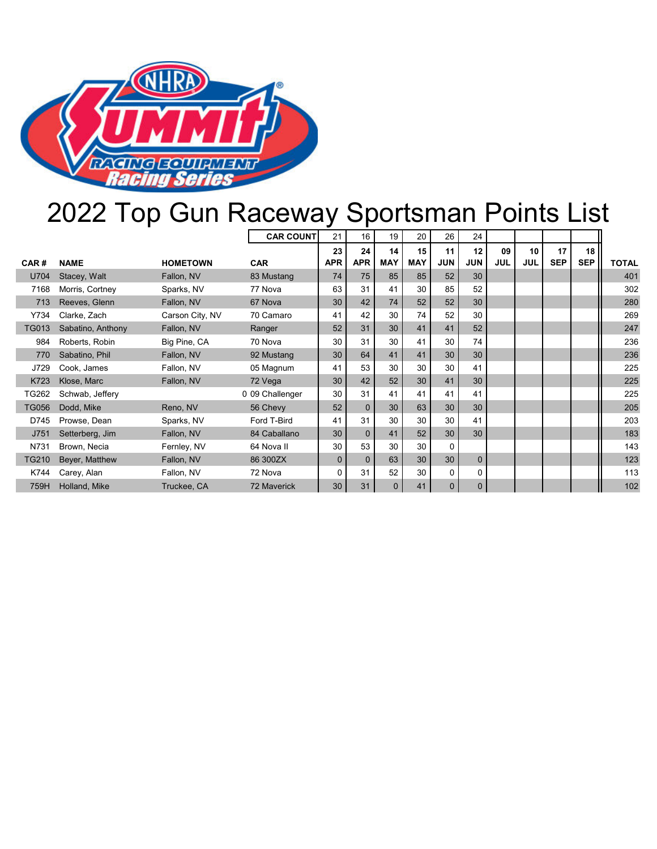

# 2022 Top Gun Raceway Sportsman Points List

|              |                   |                 | <b>CAR COUNT</b>   | 21           | 16           | 19         | 20         | 26           | 24             |            |            |            |                 |              |
|--------------|-------------------|-----------------|--------------------|--------------|--------------|------------|------------|--------------|----------------|------------|------------|------------|-----------------|--------------|
|              |                   |                 |                    | 23           | 24           | 14         | 15         | 11           | 12             | 09         | 10         | 17         | 18 <sup>1</sup> |              |
| CAR#         | <b>NAME</b>       | <b>HOMETOWN</b> | <b>CAR</b>         | <b>APR</b>   | <b>APR</b>   | <b>MAY</b> | <b>MAY</b> | <b>JUN</b>   | <b>JUN</b>     | <b>JUL</b> | <b>JUL</b> | <b>SEP</b> | <b>SEP</b>      | <b>TOTAL</b> |
| U704         | Stacey, Walt      | Fallon, NV      | 83 Mustang         | 74           | 75           | 85         | 85         | 52           | 30             |            |            |            |                 | 401          |
| 7168         | Morris, Cortney   | Sparks, NV      | 77 Nova            | 63           | 31           | 41         | 30         | 85           | 52             |            |            |            |                 | 302          |
| 713          | Reeves, Glenn     | Fallon, NV      | 67 Nova            | 30           | 42           | 74         | 52         | 52           | 30             |            |            |            |                 | 280          |
| Y734         | Clarke, Zach      | Carson City, NV | 70 Camaro          | 41           | 42           | 30         | 74         | 52           | 30             |            |            |            |                 | 269          |
| <b>TG013</b> | Sabatino, Anthony | Fallon, NV      | Ranger             | 52           | 31           | 30         | 41         | 41           | 52             |            |            |            |                 | 247          |
| 984          | Roberts, Robin    | Big Pine, CA    | 70 Nova            | 30           | 31           | 30         | 41         | 30           | 74             |            |            |            |                 | 236          |
| 770          | Sabatino, Phil    | Fallon, NV      | 92 Mustang         | 30           | 64           | 41         | 41         | 30           | 30             |            |            |            |                 | 236          |
| J729         | Cook, James       | Fallon, NV      | 05 Magnum          | 41           | 53           | 30         | 30         | 30           | 41             |            |            |            |                 | 225          |
| K723         | Klose, Marc       | Fallon, NV      | 72 Vega            | 30           | 42           | 52         | 30         | 41           | 30             |            |            |            |                 | 225          |
| TG262        | Schwab, Jeffery   |                 | 0 09 Challenger    | 30           | 31           | 41         | 41         | 41           | 41             |            |            |            |                 | 225          |
| <b>TG056</b> | Dodd, Mike        | Reno, NV        | 56 Chevy           | 52           | $\mathbf{0}$ | 30         | 63         | 30           | 30             |            |            |            |                 | 205          |
| D745         | Prowse, Dean      | Sparks, NV      | Ford T-Bird        | 41           | 31           | 30         | 30         | 30           | 41             |            |            |            |                 | 203          |
| J751         | Setterberg, Jim   | Fallon, NV      | 84 Caballano       | 30           | $\mathbf{0}$ | 41         | 52         | 30           | 30             |            |            |            |                 | 183          |
| N731         | Brown, Necia      | Fernley, NV     | 64 Nova II         | 30           | 53           | 30         | 30         | $\Omega$     |                |            |            |            |                 | 143          |
| <b>TG210</b> | Beyer, Matthew    | Fallon, NV      | 86 300ZX           | $\mathbf{0}$ | $\mathbf{0}$ | 63         | 30         | 30           | $\mathbf{0}$   |            |            |            |                 | 123          |
| K744         | Carey, Alan       | Fallon, NV      | 72 Nova            | $\Omega$     | 31           | 52         | 30         | 0            | 0              |            |            |            |                 | 113          |
| 759H         | Holland, Mike     | Truckee, CA     | <b>72 Maverick</b> | 30           | 31           | $\Omega$   | 41         | $\mathbf{0}$ | $\overline{0}$ |            |            |            |                 | 102          |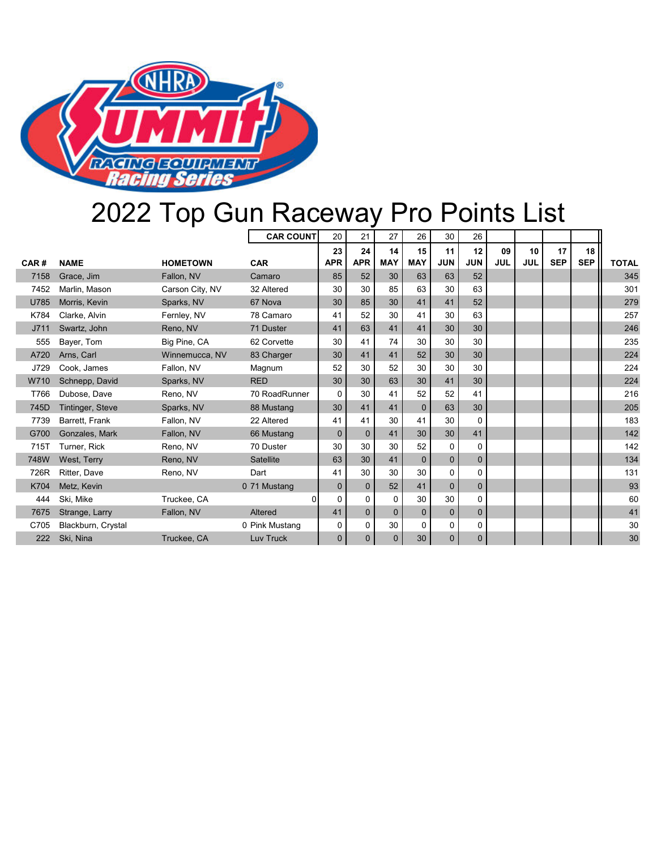

# 2022 Top Gun Raceway Pro Points List

|      |                    |                 | <b>CAR COUNT</b> | 20           | 21             | 27           | 26           | 30           | 26           |            |            |            |            |              |
|------|--------------------|-----------------|------------------|--------------|----------------|--------------|--------------|--------------|--------------|------------|------------|------------|------------|--------------|
|      |                    |                 |                  | 23           | 24             | 14           | 15           | 11           | 12           | 09         | 10         | 17         | 18         |              |
| CAR# | <b>NAME</b>        | <b>HOMETOWN</b> | <b>CAR</b>       | <b>APR</b>   | <b>APR</b>     | <b>MAY</b>   | <b>MAY</b>   | <b>JUN</b>   | <b>JUN</b>   | <b>JUL</b> | <b>JUL</b> | <b>SEP</b> | <b>SEP</b> | <b>TOTAL</b> |
| 7158 | Grace, Jim         | Fallon, NV      | Camaro           | 85           | 52             | 30           | 63           | 63           | 52           |            |            |            |            | 345          |
| 7452 | Marlin, Mason      | Carson City, NV | 32 Altered       | 30           | 30             | 85           | 63           | 30           | 63           |            |            |            |            | 301          |
| U785 | Morris, Kevin      | Sparks, NV      | 67 Nova          | 30           | 85             | 30           | 41           | 41           | 52           |            |            |            |            | 279          |
| K784 | Clarke, Alvin      | Fernley, NV     | 78 Camaro        | 41           | 52             | 30           | 41           | 30           | 63           |            |            |            |            | 257          |
| J711 | Swartz, John       | Reno, NV        | 71 Duster        | 41           | 63             | 41           | 41           | 30           | 30           |            |            |            |            | 246          |
| 555  | Bayer, Tom         | Big Pine, CA    | 62 Corvette      | 30           | 41             | 74           | 30           | 30           | 30           |            |            |            |            | 235          |
| A720 | Arns, Carl         | Winnemucca, NV  | 83 Charger       | 30           | 41             | 41           | 52           | 30           | 30           |            |            |            |            | 224          |
| J729 | Cook. James        | Fallon, NV      | Magnum           | 52           | 30             | 52           | 30           | 30           | 30           |            |            |            |            | 224          |
| W710 | Schnepp, David     | Sparks, NV      | <b>RED</b>       | 30           | 30             | 63           | 30           | 41           | 30           |            |            |            |            | 224          |
| T766 | Dubose, Dave       | Reno, NV        | 70 RoadRunner    | $\Omega$     | 30             | 41           | 52           | 52           | 41           |            |            |            |            | 216          |
| 745D | Tintinger, Steve   | Sparks, NV      | 88 Mustang       | 30           | 41             | 41           | $\Omega$     | 63           | 30           |            |            |            |            | 205          |
| 7739 | Barrett, Frank     | Fallon, NV      | 22 Altered       | 41           | 41             | 30           | 41           | 30           | $\Omega$     |            |            |            |            | 183          |
| G700 | Gonzales, Mark     | Fallon, NV      | 66 Mustang       | $\mathbf{0}$ | $\mathbf{0}$   | 41           | 30           | 30           | 41           |            |            |            |            | 142          |
| 715T | Turner, Rick       | Reno, NV        | 70 Duster        | 30           | 30             | 30           | 52           | $\Omega$     | $\Omega$     |            |            |            |            | 142          |
| 748W | West, Terry        | Reno, NV        | Satellite        | 63           | 30             | 41           | $\mathbf{0}$ | $\mathbf{0}$ | $\Omega$     |            |            |            |            | 134          |
| 726R | Ritter, Dave       | Reno, NV        | Dart             | 41           | 30             | 30           | 30           | $\Omega$     | $\Omega$     |            |            |            |            | 131          |
| K704 | Metz, Kevin        |                 | 0 71 Mustang     | $\mathbf{0}$ | $\mathbf 0$    | 52           | 41           | $\mathbf{0}$ | $\mathbf{0}$ |            |            |            |            | 93           |
| 444  | Ski, Mike          | Truckee, CA     | $\Omega$         | $\Omega$     | $\Omega$       | $\Omega$     | 30           | 30           | $\Omega$     |            |            |            |            | 60           |
| 7675 | Strange, Larry     | Fallon, NV      | Altered          | 41           | $\overline{0}$ | $\Omega$     | $\mathbf{0}$ | $\mathbf{0}$ | $\mathbf{0}$ |            |            |            |            | 41           |
| C705 | Blackburn, Crystal |                 | 0 Pink Mustang   | 0            | $\mathbf 0$    | 30           | $\Omega$     | $\mathbf 0$  | 0            |            |            |            |            | 30           |
| 222  | Ski, Nina          | Truckee, CA     | Luv Truck        | $\mathbf{0}$ | $\mathbf{0}$   | $\mathbf{0}$ | 30           | $\mathbf 0$  | $\mathbf 0$  |            |            |            |            | 30           |